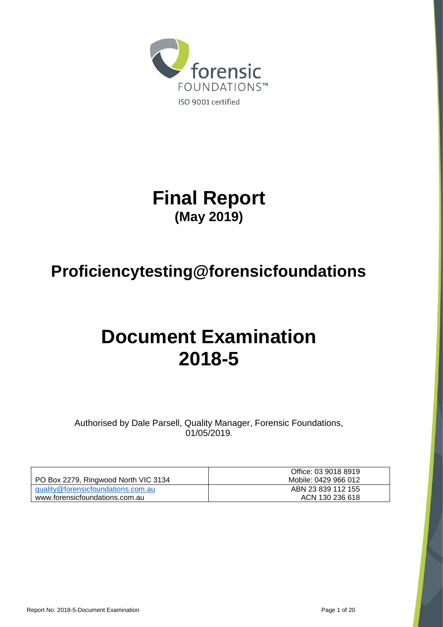

**Final Report (May 2019)**

# **Proficiencytesting@forensicfoundations**

# **Document Examination 2018-5**

Authorised by Dale Parsell, Quality Manager, Forensic Foundations, 01/05/2019.

|                                      | Office: 03 9018 8919 |
|--------------------------------------|----------------------|
| PO Box 2279, Ringwood North VIC 3134 | Mobile: 0429 966 012 |
| quality@forensicfoundations.com.au   | ABN 23 839 112 155   |
| www.forensicfoundations.com.au       | ACN 130 236 618      |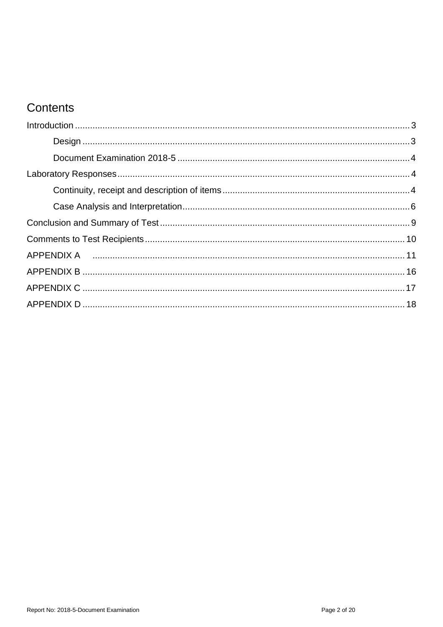# Contents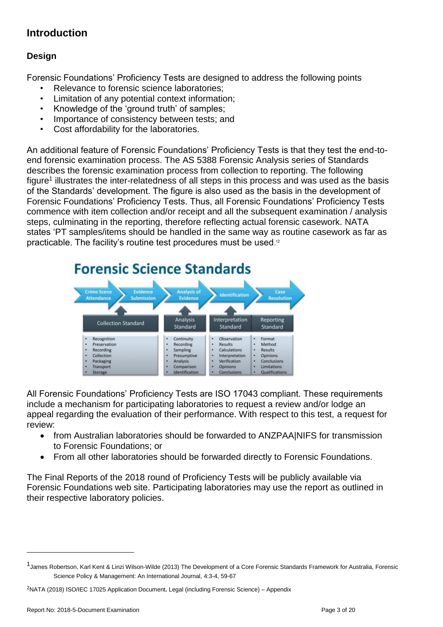### <span id="page-2-0"></span>**Introduction**

#### <span id="page-2-1"></span>**Design**

Forensic Foundations' Proficiency Tests are designed to address the following points

- Relevance to forensic science laboratories:
- Limitation of any potential context information;
- Knowledge of the 'ground truth' of samples;
- Importance of consistency between tests; and
- Cost affordability for the laboratories.

An additional feature of Forensic Foundations' Proficiency Tests is that they test the end-toend forensic examination process. The AS 5388 Forensic Analysis series of Standards describes the forensic examination process from collection to reporting. The following figure<sup>1</sup> illustrates the inter-relatedness of all steps in this process and was used as the basis of the Standards' development. The figure is also used as the basis in the development of Forensic Foundations' Proficiency Tests. Thus, all Forensic Foundations' Proficiency Tests commence with item collection and/or receipt and all the subsequent examination / analysis steps, culminating in the reporting, therefore reflecting actual forensic casework. NATA states 'PT samples/items should be handled in the same way as routine casework as far as practicable. The facility's routine test procedures must be used.'<sup>2</sup>



All Forensic Foundations' Proficiency Tests are ISO 17043 compliant. These requirements include a mechanism for participating laboratories to request a review and/or lodge an appeal regarding the evaluation of their performance. With respect to this test, a request for review:

- from Australian laboratories should be forwarded to ANZPAA|NIFS for transmission to Forensic Foundations; or
- From all other laboratories should be forwarded directly to Forensic Foundations.

The Final Reports of the 2018 round of Proficiency Tests will be publicly available via Forensic Foundations web site. Participating laboratories may use the report as outlined in their respective laboratory policies.

1

<sup>1</sup> James Robertson, Karl Kent & Linzi Wilson-Wilde (2013) The Development of a Core Forensic Standards Framework for Australia, Forensic Science Policy & Management: An International Journal, 4:3-4, 59-67

<sup>2</sup>NATA (2018) ISO/IEC 17025 Application Document**.** Legal (including Forensic Science) – Appendix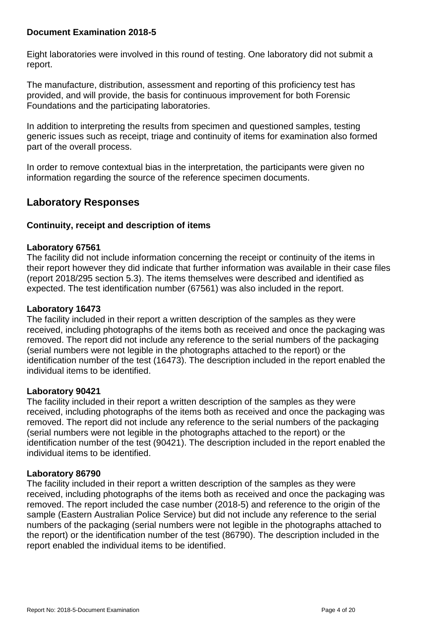#### <span id="page-3-0"></span>**Document Examination 2018-5**

Eight laboratories were involved in this round of testing. One laboratory did not submit a report.

The manufacture, distribution, assessment and reporting of this proficiency test has provided, and will provide, the basis for continuous improvement for both Forensic Foundations and the participating laboratories.

In addition to interpreting the results from specimen and questioned samples, testing generic issues such as receipt, triage and continuity of items for examination also formed part of the overall process.

In order to remove contextual bias in the interpretation, the participants were given no information regarding the source of the reference specimen documents.

### <span id="page-3-1"></span>**Laboratory Responses**

#### <span id="page-3-2"></span>**Continuity, receipt and description of items**

#### **Laboratory 67561**

The facility did not include information concerning the receipt or continuity of the items in their report however they did indicate that further information was available in their case files (report 2018/295 section 5.3). The items themselves were described and identified as expected. The test identification number (67561) was also included in the report.

#### **Laboratory 16473**

The facility included in their report a written description of the samples as they were received, including photographs of the items both as received and once the packaging was removed. The report did not include any reference to the serial numbers of the packaging (serial numbers were not legible in the photographs attached to the report) or the identification number of the test (16473). The description included in the report enabled the individual items to be identified.

#### **Laboratory 90421**

The facility included in their report a written description of the samples as they were received, including photographs of the items both as received and once the packaging was removed. The report did not include any reference to the serial numbers of the packaging (serial numbers were not legible in the photographs attached to the report) or the identification number of the test (90421). The description included in the report enabled the individual items to be identified.

#### **Laboratory 86790**

The facility included in their report a written description of the samples as they were received, including photographs of the items both as received and once the packaging was removed. The report included the case number (2018-5) and reference to the origin of the sample (Eastern Australian Police Service) but did not include any reference to the serial numbers of the packaging (serial numbers were not legible in the photographs attached to the report) or the identification number of the test (86790). The description included in the report enabled the individual items to be identified.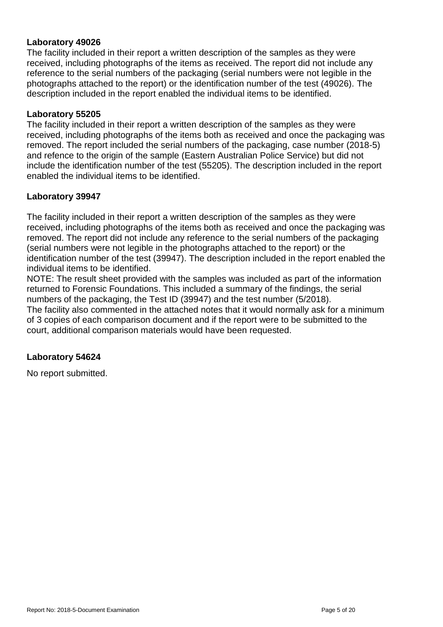#### **Laboratory 49026**

The facility included in their report a written description of the samples as they were received, including photographs of the items as received. The report did not include any reference to the serial numbers of the packaging (serial numbers were not legible in the photographs attached to the report) or the identification number of the test (49026). The description included in the report enabled the individual items to be identified.

#### **Laboratory 55205**

The facility included in their report a written description of the samples as they were received, including photographs of the items both as received and once the packaging was removed. The report included the serial numbers of the packaging, case number (2018-5) and refence to the origin of the sample (Eastern Australian Police Service) but did not include the identification number of the test (55205). The description included in the report enabled the individual items to be identified.

#### **Laboratory 39947**

The facility included in their report a written description of the samples as they were received, including photographs of the items both as received and once the packaging was removed. The report did not include any reference to the serial numbers of the packaging (serial numbers were not legible in the photographs attached to the report) or the identification number of the test (39947). The description included in the report enabled the individual items to be identified.

NOTE: The result sheet provided with the samples was included as part of the information returned to Forensic Foundations. This included a summary of the findings, the serial numbers of the packaging, the Test ID (39947) and the test number (5/2018). The facility also commented in the attached notes that it would normally ask for a minimum of 3 copies of each comparison document and if the report were to be submitted to the court, additional comparison materials would have been requested.

#### **Laboratory 54624**

No report submitted.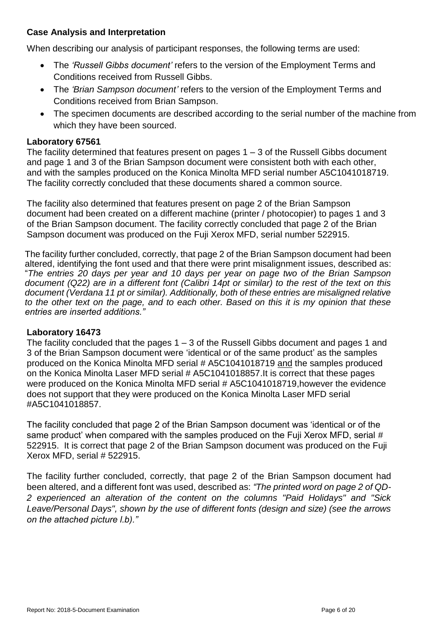#### <span id="page-5-0"></span>**Case Analysis and Interpretation**

When describing our analysis of participant responses, the following terms are used:

- The *'Russell Gibbs document'* refers to the version of the Employment Terms and Conditions received from Russell Gibbs.
- The *'Brian Sampson document'* refers to the version of the Employment Terms and Conditions received from Brian Sampson.
- The specimen documents are described according to the serial number of the machine from which they have been sourced.

#### **Laboratory 67561**

The facility determined that features present on pages  $1 - 3$  of the Russell Gibbs document and page 1 and 3 of the Brian Sampson document were consistent both with each other, and with the samples produced on the Konica Minolta MFD serial number A5C1041018719. The facility correctly concluded that these documents shared a common source.

The facility also determined that features present on page 2 of the Brian Sampson document had been created on a different machine (printer / photocopier) to pages 1 and 3 of the Brian Sampson document. The facility correctly concluded that page 2 of the Brian Sampson document was produced on the Fuji Xerox MFD, serial number 522915.

The facility further concluded, correctly, that page 2 of the Brian Sampson document had been altered, identifying the font used and that there were print misalignment issues, described as: "*The entries 20 days per year and 10 days per year on page two of the Brian Sampson document (Q22) are in a different font (Calibri 14pt or similar) to the rest of the text on this document (Verdana 11 pt or similar). Additionally, both of these entries are misaligned relative to the other text on the page, and to each other. Based on this it is my opinion that these entries are inserted additions."*

#### **Laboratory 16473**

The facility concluded that the pages  $1 - 3$  of the Russell Gibbs document and pages 1 and 3 of the Brian Sampson document were 'identical or of the same product' as the samples produced on the Konica Minolta MFD serial # A5C1041018719 and the samples produced on the Konica Minolta Laser MFD serial # A5C1041018857.It is correct that these pages were produced on the Konica Minolta MFD serial # A5C1041018719,however the evidence does not support that they were produced on the Konica Minolta Laser MFD serial #A5C1041018857.

The facility concluded that page 2 of the Brian Sampson document was 'identical or of the same product' when compared with the samples produced on the Fuji Xerox MFD, serial # 522915. It is correct that page 2 of the Brian Sampson document was produced on the Fuji Xerox MFD, serial # 522915.

The facility further concluded, correctly, that page 2 of the Brian Sampson document had been altered, and a different font was used, described as: *"The printed word on page 2 of QD-2 experienced an alteration of the content on the columns "Paid Holidays" and "Sick Leave/Personal Days", shown by the use of different fonts (design and size) (see the arrows on the attached picture l.b)."*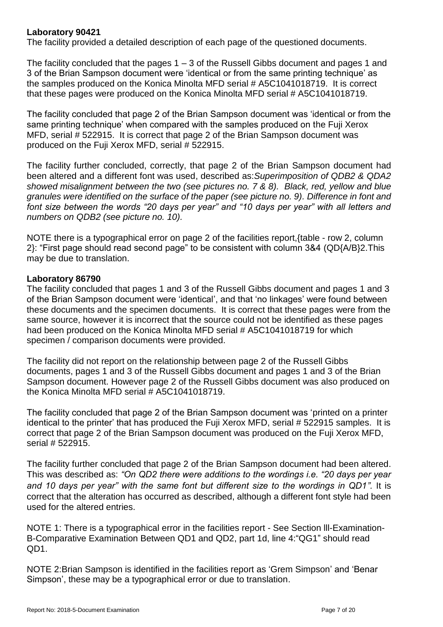#### **Laboratory 90421**

The facility provided a detailed description of each page of the questioned documents.

The facility concluded that the pages  $1 - 3$  of the Russell Gibbs document and pages 1 and 3 of the Brian Sampson document were 'identical or from the same printing technique' as the samples produced on the Konica Minolta MFD serial # A5C1041018719. It is correct that these pages were produced on the Konica Minolta MFD serial # A5C1041018719.

The facility concluded that page 2 of the Brian Sampson document was 'identical or from the same printing technique' when compared with the samples produced on the Fuji Xerox MFD, serial # 522915. It is correct that page 2 of the Brian Sampson document was produced on the Fuji Xerox MFD, serial # 522915.

The facility further concluded, correctly, that page 2 of the Brian Sampson document had been altered and a different font was used, described as:*Superimposition of QDB2 & QDA2 showed misalignment between the two (see pictures no. 7 & 8). Black, red, yellow and blue granules were identified on the surface of the paper (see picture no. 9). Difference in font and font size between the words "20 days per year" and "10 days per year" with all letters and numbers on QDB2 (see picture no. 10).* 

NOTE there is a typographical error on page 2 of the facilities report,{table - row 2, column 2}: "First page should read second page" to be consistent with column 3&4 (QD{A/B}2.This may be due to translation.

#### **Laboratory 86790**

The facility concluded that pages 1 and 3 of the Russell Gibbs document and pages 1 and 3 of the Brian Sampson document were 'identical', and that 'no linkages' were found between these documents and the specimen documents. It is correct that these pages were from the same source, however it is incorrect that the source could not be identified as these pages had been produced on the Konica Minolta MFD serial # A5C1041018719 for which specimen / comparison documents were provided.

The facility did not report on the relationship between page 2 of the Russell Gibbs documents, pages 1 and 3 of the Russell Gibbs document and pages 1 and 3 of the Brian Sampson document. However page 2 of the Russell Gibbs document was also produced on the Konica Minolta MFD serial # A5C1041018719.

The facility concluded that page 2 of the Brian Sampson document was 'printed on a printer identical to the printer' that has produced the Fuji Xerox MFD, serial #522915 samples. It is correct that page 2 of the Brian Sampson document was produced on the Fuji Xerox MFD, serial # 522915.

The facility further concluded that page 2 of the Brian Sampson document had been altered. This was described as: *"On QD2 there were additions to the wordings i.e. "20 days per year*  and 10 days per year" with the same font but different size to the wordings in QD1". It is correct that the alteration has occurred as described, although a different font style had been used for the altered entries.

NOTE 1: There is a typographical error in the facilities report - See Section lll-Examination-B-Comparative Examination Between QD1 and QD2, part 1d, line 4:"QG1" should read QD1.

NOTE 2:Brian Sampson is identified in the facilities report as 'Grem Simpson' and 'Benar Simpson', these may be a typographical error or due to translation.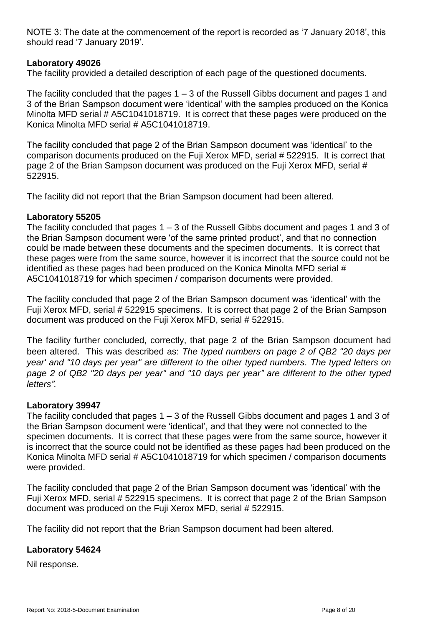NOTE 3: The date at the commencement of the report is recorded as '7 January 2018', this should read '7 January 2019'.

#### **Laboratory 49026**

The facility provided a detailed description of each page of the questioned documents.

The facility concluded that the pages  $1 - 3$  of the Russell Gibbs document and pages 1 and 3 of the Brian Sampson document were 'identical' with the samples produced on the Konica Minolta MFD serial # A5C1041018719. It is correct that these pages were produced on the Konica Minolta MFD serial # A5C1041018719.

The facility concluded that page 2 of the Brian Sampson document was 'identical' to the comparison documents produced on the Fuji Xerox MFD, serial # 522915. It is correct that page 2 of the Brian Sampson document was produced on the Fuji Xerox MFD, serial # 522915.

The facility did not report that the Brian Sampson document had been altered.

#### **Laboratory 55205**

The facility concluded that pages  $1 - 3$  of the Russell Gibbs document and pages 1 and 3 of the Brian Sampson document were 'of the same printed product', and that no connection could be made between these documents and the specimen documents. It is correct that these pages were from the same source, however it is incorrect that the source could not be identified as these pages had been produced on the Konica Minolta MFD serial # A5C1041018719 for which specimen / comparison documents were provided.

The facility concluded that page 2 of the Brian Sampson document was 'identical' with the Fuji Xerox MFD, serial # 522915 specimens. It is correct that page 2 of the Brian Sampson document was produced on the Fuji Xerox MFD, serial # 522915.

The facility further concluded, correctly, that page 2 of the Brian Sampson document had been altered. This was described as: *The typed numbers on page 2 of QB2 "20 days per year' and "10 days per year" are different to the other typed numbers. The typed letters on page 2 of QB2 "20 days per year" and "10 days per year" are different to the other typed letters".* 

#### **Laboratory 39947**

The facility concluded that pages  $1 - 3$  of the Russell Gibbs document and pages 1 and 3 of the Brian Sampson document were 'identical', and that they were not connected to the specimen documents. It is correct that these pages were from the same source, however it is incorrect that the source could not be identified as these pages had been produced on the Konica Minolta MFD serial # A5C1041018719 for which specimen / comparison documents were provided.

The facility concluded that page 2 of the Brian Sampson document was 'identical' with the Fuji Xerox MFD, serial # 522915 specimens. It is correct that page 2 of the Brian Sampson document was produced on the Fuji Xerox MFD, serial # 522915.

The facility did not report that the Brian Sampson document had been altered.

#### **Laboratory 54624**

Nil response.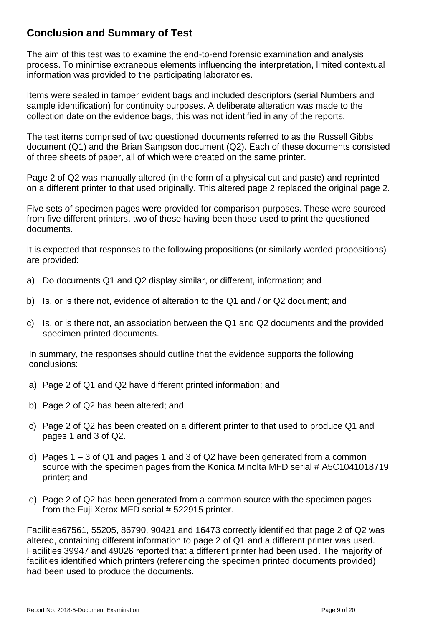### <span id="page-8-0"></span>**Conclusion and Summary of Test**

The aim of this test was to examine the end-to-end forensic examination and analysis process. To minimise extraneous elements influencing the interpretation, limited contextual information was provided to the participating laboratories.

Items were sealed in tamper evident bags and included descriptors (serial Numbers and sample identification) for continuity purposes. A deliberate alteration was made to the collection date on the evidence bags, this was not identified in any of the reports.

The test items comprised of two questioned documents referred to as the Russell Gibbs document (Q1) and the Brian Sampson document (Q2). Each of these documents consisted of three sheets of paper, all of which were created on the same printer.

Page 2 of Q2 was manually altered (in the form of a physical cut and paste) and reprinted on a different printer to that used originally. This altered page 2 replaced the original page 2.

Five sets of specimen pages were provided for comparison purposes. These were sourced from five different printers, two of these having been those used to print the questioned documents.

It is expected that responses to the following propositions (or similarly worded propositions) are provided:

- a) Do documents Q1 and Q2 display similar, or different, information; and
- b) Is, or is there not, evidence of alteration to the Q1 and / or Q2 document; and
- c) Is, or is there not, an association between the Q1 and Q2 documents and the provided specimen printed documents.

In summary, the responses should outline that the evidence supports the following conclusions:

- a) Page 2 of Q1 and Q2 have different printed information; and
- b) Page 2 of Q2 has been altered; and
- c) Page 2 of Q2 has been created on a different printer to that used to produce Q1 and pages 1 and 3 of Q2.
- d) Pages 1 3 of Q1 and pages 1 and 3 of Q2 have been generated from a common source with the specimen pages from the Konica Minolta MFD serial # A5C1041018719 printer; and
- e) Page 2 of Q2 has been generated from a common source with the specimen pages from the Fuji Xerox MFD serial # 522915 printer.

Facilities67561, 55205, 86790, 90421 and 16473 correctly identified that page 2 of Q2 was altered, containing different information to page 2 of Q1 and a different printer was used. Facilities 39947 and 49026 reported that a different printer had been used. The majority of facilities identified which printers (referencing the specimen printed documents provided) had been used to produce the documents.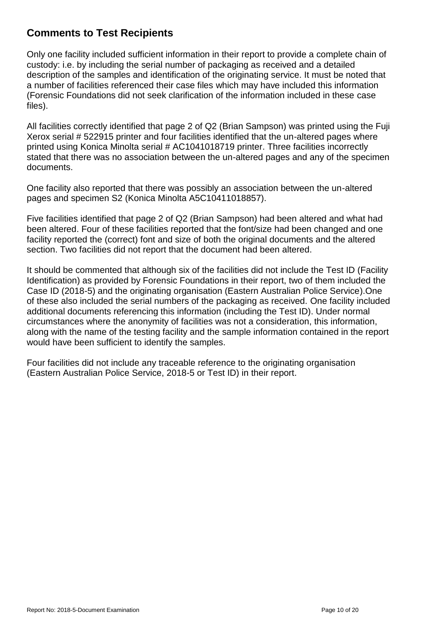### <span id="page-9-0"></span>**Comments to Test Recipients**

Only one facility included sufficient information in their report to provide a complete chain of custody: i.e. by including the serial number of packaging as received and a detailed description of the samples and identification of the originating service. It must be noted that a number of facilities referenced their case files which may have included this information (Forensic Foundations did not seek clarification of the information included in these case files).

All facilities correctly identified that page 2 of Q2 (Brian Sampson) was printed using the Fuji Xerox serial # 522915 printer and four facilities identified that the un-altered pages where printed using Konica Minolta serial # AC1041018719 printer. Three facilities incorrectly stated that there was no association between the un-altered pages and any of the specimen documents.

One facility also reported that there was possibly an association between the un-altered pages and specimen S2 (Konica Minolta A5C10411018857).

Five facilities identified that page 2 of Q2 (Brian Sampson) had been altered and what had been altered. Four of these facilities reported that the font/size had been changed and one facility reported the (correct) font and size of both the original documents and the altered section. Two facilities did not report that the document had been altered.

It should be commented that although six of the facilities did not include the Test ID (Facility Identification) as provided by Forensic Foundations in their report, two of them included the Case ID (2018-5) and the originating organisation (Eastern Australian Police Service).One of these also included the serial numbers of the packaging as received. One facility included additional documents referencing this information (including the Test ID). Under normal circumstances where the anonymity of facilities was not a consideration, this information, along with the name of the testing facility and the sample information contained in the report would have been sufficient to identify the samples.

Four facilities did not include any traceable reference to the originating organisation (Eastern Australian Police Service, 2018-5 or Test ID) in their report.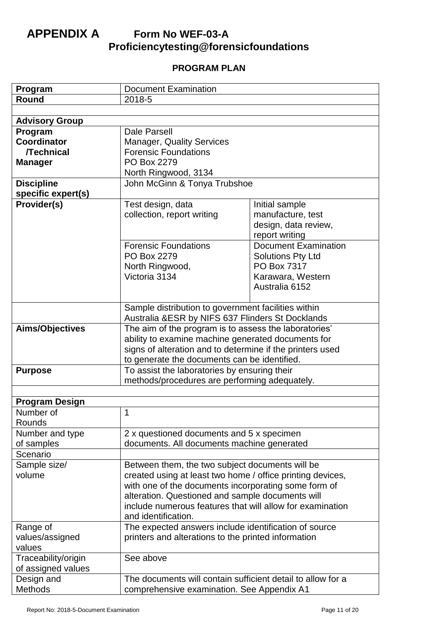## <span id="page-10-0"></span>**APPENDIX A Form No WEF-03-A Proficiencytesting@forensicfoundations**

### **PROGRAM PLAN**

| Program               | <b>Document Examination</b>                                                                                     |                             |  |
|-----------------------|-----------------------------------------------------------------------------------------------------------------|-----------------------------|--|
| Round                 | 2018-5                                                                                                          |                             |  |
|                       |                                                                                                                 |                             |  |
| <b>Advisory Group</b> |                                                                                                                 |                             |  |
| Program               | Dale Parsell                                                                                                    |                             |  |
| <b>Coordinator</b>    | <b>Manager, Quality Services</b>                                                                                |                             |  |
| <b>/Technical</b>     | <b>Forensic Foundations</b>                                                                                     |                             |  |
| <b>Manager</b>        | PO Box 2279                                                                                                     |                             |  |
|                       | North Ringwood, 3134                                                                                            |                             |  |
| <b>Discipline</b>     | John McGinn & Tonya Trubshoe                                                                                    |                             |  |
| specific expert(s)    |                                                                                                                 |                             |  |
| Provider(s)           | Initial sample<br>Test design, data                                                                             |                             |  |
|                       | collection, report writing                                                                                      | manufacture, test           |  |
|                       |                                                                                                                 | design, data review,        |  |
|                       |                                                                                                                 | report writing              |  |
|                       | <b>Forensic Foundations</b>                                                                                     | <b>Document Examination</b> |  |
|                       | PO Box 2279                                                                                                     | <b>Solutions Pty Ltd</b>    |  |
|                       | North Ringwood,                                                                                                 | PO Box 7317                 |  |
|                       | Victoria 3134                                                                                                   | Karawara, Western           |  |
|                       |                                                                                                                 | Australia 6152              |  |
|                       |                                                                                                                 |                             |  |
|                       | Sample distribution to government facilities within                                                             |                             |  |
|                       | Australia &ESR by NIFS 637 Flinders St Docklands                                                                |                             |  |
| Aims/Objectives       | The aim of the program is to assess the laboratories'                                                           |                             |  |
|                       | ability to examine machine generated documents for<br>signs of alteration and to determine if the printers used |                             |  |
|                       |                                                                                                                 |                             |  |
|                       | to generate the documents can be identified.                                                                    |                             |  |
| <b>Purpose</b>        | To assist the laboratories by ensuring their                                                                    |                             |  |
|                       | methods/procedures are performing adequately.                                                                   |                             |  |
|                       |                                                                                                                 |                             |  |
| <b>Program Design</b> |                                                                                                                 |                             |  |
| Number of             | 1                                                                                                               |                             |  |
| Rounds                |                                                                                                                 |                             |  |
| Number and type       | 2 x questioned documents and 5 x specimen                                                                       |                             |  |
| of samples            | documents. All documents machine generated                                                                      |                             |  |
| Scenario              |                                                                                                                 |                             |  |
| Sample size/          | Between them, the two subject documents will be                                                                 |                             |  |
| volume                | created using at least two home / office printing devices,                                                      |                             |  |
|                       | with one of the documents incorporating some form of<br>alteration. Questioned and sample documents will        |                             |  |
|                       |                                                                                                                 |                             |  |
|                       | include numerous features that will allow for examination                                                       |                             |  |
|                       | and identification.                                                                                             |                             |  |
| Range of              | The expected answers include identification of source                                                           |                             |  |
| values/assigned       | printers and alterations to the printed information                                                             |                             |  |
| values                |                                                                                                                 |                             |  |
| Traceability/origin   | See above                                                                                                       |                             |  |
| of assigned values    |                                                                                                                 |                             |  |
| Design and            | The documents will contain sufficient detail to allow for a                                                     |                             |  |
| Methods               | comprehensive examination. See Appendix A1                                                                      |                             |  |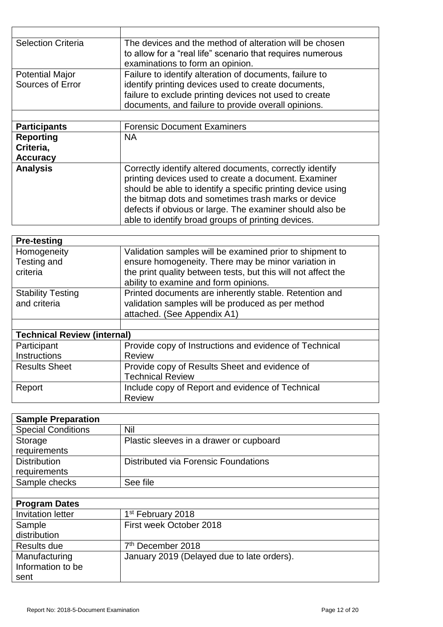| <b>Selection Criteria</b>                                               | The devices and the method of alteration will be chosen     |  |  |
|-------------------------------------------------------------------------|-------------------------------------------------------------|--|--|
|                                                                         | to allow for a "real life" scenario that requires numerous  |  |  |
|                                                                         | examinations to form an opinion.                            |  |  |
| <b>Potential Major</b>                                                  | Failure to identify alteration of documents, failure to     |  |  |
| identify printing devices used to create documents,<br>Sources of Error |                                                             |  |  |
|                                                                         | failure to exclude printing devices not used to create      |  |  |
|                                                                         | documents, and failure to provide overall opinions.         |  |  |
|                                                                         |                                                             |  |  |
| <b>Participants</b>                                                     | <b>Forensic Document Examiners</b>                          |  |  |
| <b>NA</b><br><b>Reporting</b>                                           |                                                             |  |  |
| Criteria,                                                               |                                                             |  |  |
| <b>Accuracy</b>                                                         |                                                             |  |  |
| <b>Analysis</b>                                                         | Correctly identify altered documents, correctly identify    |  |  |
|                                                                         | printing devices used to create a document. Examiner        |  |  |
|                                                                         | should be able to identify a specific printing device using |  |  |
|                                                                         | the bitmap dots and sometimes trash marks or device         |  |  |
|                                                                         | defects if obvious or large. The examiner should also be    |  |  |
|                                                                         | able to identify broad groups of printing devices.          |  |  |

| <b>Pre-testing</b>                       |                                                                                                                                                                                                                           |  |
|------------------------------------------|---------------------------------------------------------------------------------------------------------------------------------------------------------------------------------------------------------------------------|--|
| Homogeneity<br>Testing and<br>criteria   | Validation samples will be examined prior to shipment to<br>ensure homogeneity. There may be minor variation in<br>the print quality between tests, but this will not affect the<br>ability to examine and form opinions. |  |
| <b>Stability Testing</b><br>and criteria | Printed documents are inherently stable. Retention and<br>validation samples will be produced as per method<br>attached. (See Appendix A1)                                                                                |  |
| <b>Technical Review (internal)</b>       |                                                                                                                                                                                                                           |  |
| Participant<br><b>Instructions</b>       | Provide copy of Instructions and evidence of Technical<br><b>Review</b>                                                                                                                                                   |  |
| <b>Results Sheet</b>                     | Provide copy of Results Sheet and evidence of<br><b>Technical Review</b>                                                                                                                                                  |  |
| Report                                   | Include copy of Report and evidence of Technical<br><b>Review</b>                                                                                                                                                         |  |

| <b>Sample Preparation</b> |                                            |
|---------------------------|--------------------------------------------|
| <b>Special Conditions</b> | Nil                                        |
| Storage                   | Plastic sleeves in a drawer or cupboard    |
| requirements              |                                            |
| <b>Distribution</b>       | Distributed via Forensic Foundations       |
| requirements              |                                            |
| Sample checks             | See file                                   |
|                           |                                            |
| <b>Program Dates</b>      |                                            |
| <b>Invitation letter</b>  | 1 <sup>st</sup> February 2018              |
| Sample                    | First week October 2018                    |
| distribution              |                                            |
| Results due               | 7 <sup>th</sup> December 2018              |
| Manufacturing             | January 2019 (Delayed due to late orders). |
| Information to be         |                                            |

sent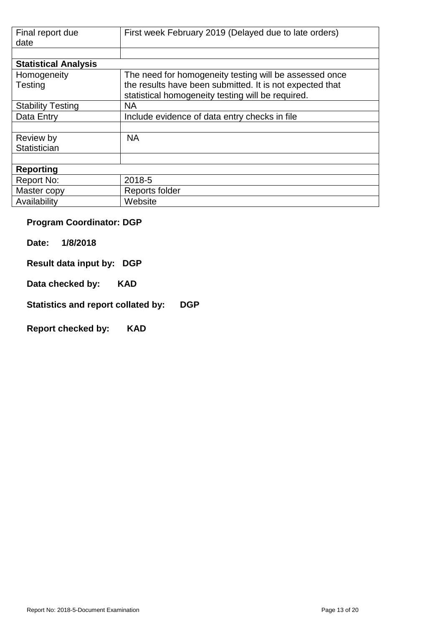| Final report due<br>date    | First week February 2019 (Delayed due to late orders)                                                         |
|-----------------------------|---------------------------------------------------------------------------------------------------------------|
|                             |                                                                                                               |
| <b>Statistical Analysis</b> |                                                                                                               |
| Homogeneity                 | The need for homogeneity testing will be assessed once                                                        |
| Testing                     | the results have been submitted. It is not expected that<br>statistical homogeneity testing will be required. |
| <b>Stability Testing</b>    | <b>NA</b>                                                                                                     |
| Data Entry                  | Include evidence of data entry checks in file                                                                 |
|                             |                                                                                                               |
| Review by                   | <b>NA</b>                                                                                                     |
| Statistician                |                                                                                                               |
|                             |                                                                                                               |
| <b>Reporting</b>            |                                                                                                               |
| Report No:                  | 2018-5                                                                                                        |
| Master copy                 | Reports folder                                                                                                |
| Availability                | Website                                                                                                       |

## **Program Coordinator: DGP**

**Date: 1/8/2018** 

**Result data input by: DGP** 

**Data checked by: KAD**

**Statistics and report collated by: DGP** 

**Report checked by: KAD**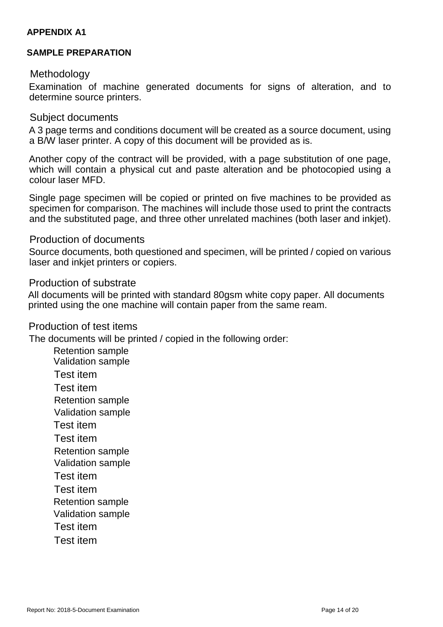#### **APPENDIX A1**

#### **SAMPLE PREPARATION**

#### Methodology

Examination of machine generated documents for signs of alteration, and to determine source printers.

#### Subject documents

A 3 page terms and conditions document will be created as a source document, using a B/W laser printer. A copy of this document will be provided as is.

Another copy of the contract will be provided, with a page substitution of one page, which will contain a physical cut and paste alteration and be photocopied using a colour laser MFD.

Single page specimen will be copied or printed on five machines to be provided as specimen for comparison. The machines will include those used to print the contracts and the substituted page, and three other unrelated machines (both laser and inkjet).

#### Production of documents

Source documents, both questioned and specimen, will be printed / copied on various laser and inkjet printers or copiers.

#### Production of substrate

All documents will be printed with standard 80gsm white copy paper. All documents printed using the one machine will contain paper from the same ream.

#### Production of test items

The documents will be printed / copied in the following order:

Retention sample Validation sample Test item Test item Retention sample Validation sample Test item Test item Retention sample Validation sample Test item Test item Retention sample Validation sample Test item Test item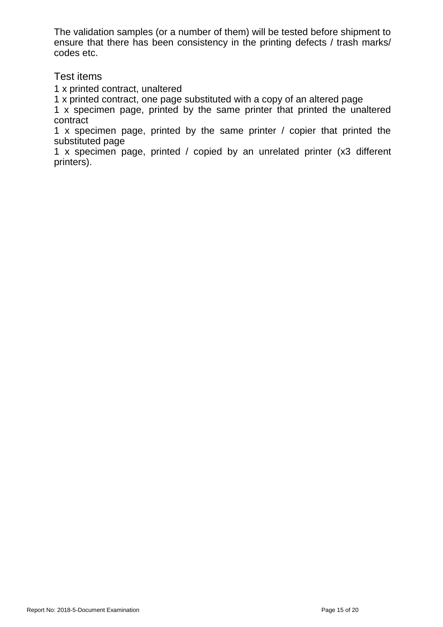The validation samples (or a number of them) will be tested before shipment to ensure that there has been consistency in the printing defects / trash marks/ codes etc.

#### Test items

1 x printed contract, unaltered

1 x printed contract, one page substituted with a copy of an altered page

1 x specimen page, printed by the same printer that printed the unaltered contract

1 x specimen page, printed by the same printer / copier that printed the substituted page

1 x specimen page, printed / copied by an unrelated printer (x3 different printers).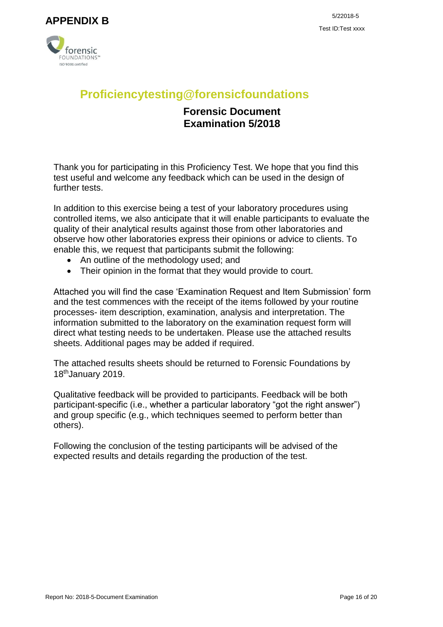<span id="page-15-0"></span>



# **Proficiencytesting@forensicfoundations**

### **Forensic Document Examination 5/2018**

Thank you for participating in this Proficiency Test. We hope that you find this test useful and welcome any feedback which can be used in the design of further tests.

In addition to this exercise being a test of your laboratory procedures using controlled items, we also anticipate that it will enable participants to evaluate the quality of their analytical results against those from other laboratories and observe how other laboratories express their opinions or advice to clients. To enable this, we request that participants submit the following:

- An outline of the methodology used; and
- Their opinion in the format that they would provide to court.

Attached you will find the case 'Examination Request and Item Submission' form and the test commences with the receipt of the items followed by your routine processes- item description, examination, analysis and interpretation. The information submitted to the laboratory on the examination request form will direct what testing needs to be undertaken. Please use the attached results sheets. Additional pages may be added if required.

The attached results sheets should be returned to Forensic Foundations by 18thJanuary 2019.

Qualitative feedback will be provided to participants. Feedback will be both participant-specific (i.e., whether a particular laboratory "got the right answer") and group specific (e.g., which techniques seemed to perform better than others).

Following the conclusion of the testing participants will be advised of the expected results and details regarding the production of the test.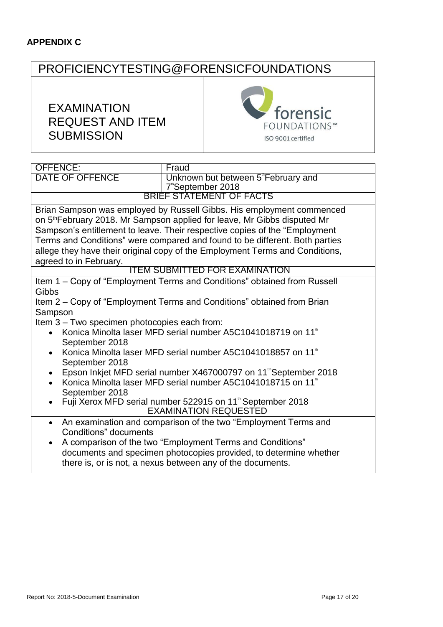#### <span id="page-16-0"></span>**APPENDIX C**

# PROFICIENCYTESTING@FORENSICFOUNDATIONS

# EXAMINATION REQUEST AND ITEM **SUBMISSION**



| <b>OFFENCE:</b>                                                              | Fraud                                                                                |  |  |  |
|------------------------------------------------------------------------------|--------------------------------------------------------------------------------------|--|--|--|
| <b>DATE OF OFFENCE</b>                                                       | Unknown but between 5 <sup>"</sup> February and                                      |  |  |  |
|                                                                              | 7 <sup>"</sup> September 2018                                                        |  |  |  |
|                                                                              | <b>BRIEF STATEMENT OF FACTS</b>                                                      |  |  |  |
|                                                                              | Brian Sampson was employed by Russell Gibbs. His employment commenced                |  |  |  |
|                                                                              | on 5 <sup>th</sup> February 2018. Mr Sampson applied for leave, Mr Gibbs disputed Mr |  |  |  |
|                                                                              | Sampson's entitlement to leave. Their respective copies of the "Employment           |  |  |  |
|                                                                              | Terms and Conditions" were compared and found to be different. Both parties          |  |  |  |
|                                                                              | allege they have their original copy of the Employment Terms and Conditions,         |  |  |  |
| agreed to in February.                                                       |                                                                                      |  |  |  |
|                                                                              | <b>ITEM SUBMITTED FOR EXAMINATION</b>                                                |  |  |  |
|                                                                              | Item 1 – Copy of "Employment Terms and Conditions" obtained from Russell             |  |  |  |
| Gibbs                                                                        |                                                                                      |  |  |  |
|                                                                              | Item 2 – Copy of "Employment Terms and Conditions" obtained from Brian               |  |  |  |
| Sampson                                                                      |                                                                                      |  |  |  |
| Item 3 - Two specimen photocopies each from:                                 |                                                                                      |  |  |  |
| Konica Minolta laser MFD serial number A5C1041018719 on 11 <sup>th</sup>     |                                                                                      |  |  |  |
| September 2018                                                               |                                                                                      |  |  |  |
| Konica Minolta laser MFD serial number A5C1041018857 on 11 <sup>th</sup>     |                                                                                      |  |  |  |
| September 2018                                                               |                                                                                      |  |  |  |
| Epson Inkjet MFD serial number X467000797 on 11 <sup>th</sup> September 2018 |                                                                                      |  |  |  |
| Konica Minolta laser MFD serial number A5C1041018715 on 11 <sup>th</sup>     |                                                                                      |  |  |  |
| September 2018                                                               |                                                                                      |  |  |  |
| Fuji Xerox MFD serial number 522915 on 11 <sup>th</sup> September 2018       |                                                                                      |  |  |  |
| <b>EXAMINATION REQUESTED</b>                                                 |                                                                                      |  |  |  |
| An examination and comparison of the two "Employment Terms and<br>$\bullet$  |                                                                                      |  |  |  |
| Conditions" documents                                                        |                                                                                      |  |  |  |
|                                                                              | A comparison of the two "Employment Terms and Conditions"                            |  |  |  |
|                                                                              | documents and specimen photocopies provided, to determine whether                    |  |  |  |
|                                                                              | there is, or is not, a nexus between any of the documents.                           |  |  |  |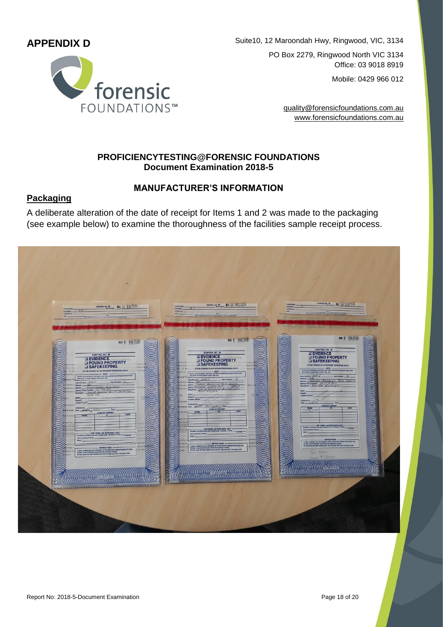### <span id="page-17-0"></span>**APPENDIX D**



Suite10, 12 Maroondah Hwy, Ringwood, VIC, 3134 PO Box 2279, Ringwood North VIC 3134 Office: 03 9018 8919

Mobile: 0429 966 012

[quality@forensicfoundations.com.au](mailto:anna.davey@forensicfoundations.com.auwww.forensicfoundations.com.au) [www.forensicfoundations.com.au](mailto:anna.davey@forensicfoundations.com.auwww.forensicfoundations.com.au)

#### **PROFICIENCYTESTING@FORENSIC FOUNDATIONS Document Examination 2018-5**

#### **MANUFACTURER'S INFORMATION**

#### **Packaging**

A deliberate alteration of the date of receipt for Items 1 and 2 was made to the packaging (see example below) to examine the thoroughness of the facilities sample receipt process.

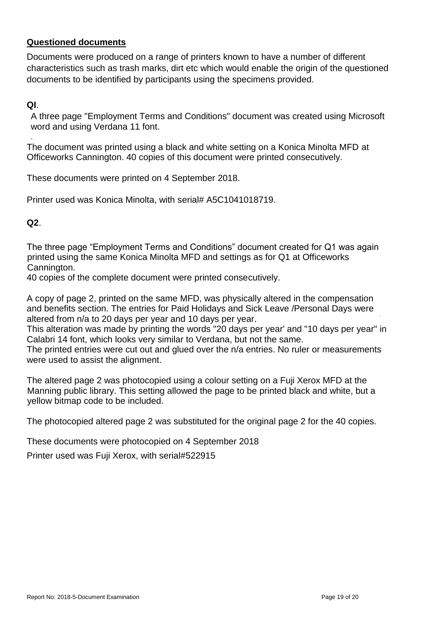#### **Questioned documents**

Documents were produced on a range of printers known to have a number of different characteristics such as trash marks, dirt etc which would enable the origin of the questioned documents to be identified by participants using the specimens provided.

#### **QI**.

A three page "Employment Terms and Conditions" document was created using Microsoft word and using Verdana 11 font.

The document was printed using a black and white setting on a Konica Minolta MFD at Officeworks Cannington. 40 copies of this document were printed consecutively.

These documents were printed on 4 September 2018.

Printer used was Konica Minolta, with serial# A5C1041018719.

**Q2**.

The three page "Employment Terms and Conditions" document created for Q1 was again printed using the same Konica Minolta MFD and settings as for Q1 at Officeworks Cannington.

40 copies of the complete document were printed consecutively.

A copy of page 2, printed on the same MFD, was physically altered in the compensation and benefits section. The entries for Paid Holidays and Sick Leave /Personal Days were altered from n/a to 20 days per year and 10 days per year.

This alteration was made by printing the words "20 days per year' and "10 days per year" in Calabri 14 font, which looks very similar to Verdana, but not the same.

The printed entries were cut out and glued over the n/a entries. No ruler or measurements were used to assist the alignment.

The altered page 2 was photocopied using a colour setting on a Fuji Xerox MFD at the Manning public library. This setting allowed the page to be printed black and white, but a yellow bitmap code to be included.

The photocopied altered page 2 was substituted for the original page 2 for the 40 copies.

These documents were photocopied on 4 September 2018

Printer used was Fuji Xerox, with serial#522915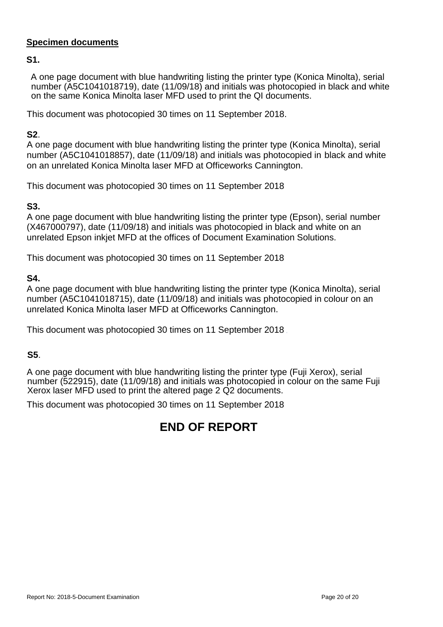#### **Specimen documents**

**S1.**

A one page document with blue handwriting listing the printer type (Konica Minolta), serial number (A5C1041018719), date (11/09/18) and initials was photocopied in black and white on the same Konica Minolta laser MFD used to print the QI documents.

This document was photocopied 30 times on 11 September 2018.

#### **S2**.

A one page document with blue handwriting listing the printer type (Konica Minolta), serial number (A5C1041018857), date (11/09/18) and initials was photocopied in black and white on an unrelated Konica Minolta laser MFD at Officeworks Cannington.

This document was photocopied 30 times on 11 September 2018

#### **S3.**

A one page document with blue handwriting listing the printer type (Epson), serial number (X467000797), date (11/09/18) and initials was photocopied in black and white on an unrelated Epson inkjet MFD at the offices of Document Examination Solutions.

This document was photocopied 30 times on 11 September 2018

#### **S4.**

A one page document with blue handwriting listing the printer type (Konica Minolta), serial number (A5C1041018715), date (11/09/18) and initials was photocopied in colour on an unrelated Konica Minolta laser MFD at Officeworks Cannington.

This document was photocopied 30 times on 11 September 2018

#### **S5**.

A one page document with blue handwriting listing the printer type (Fuji Xerox), serial number (522915), date (11/09/18) and initials was photocopied in colour on the same Fuji Xerox laser MFD used to print the altered page 2 Q2 documents.

This document was photocopied 30 times on 11 September 2018

# **END OF REPORT**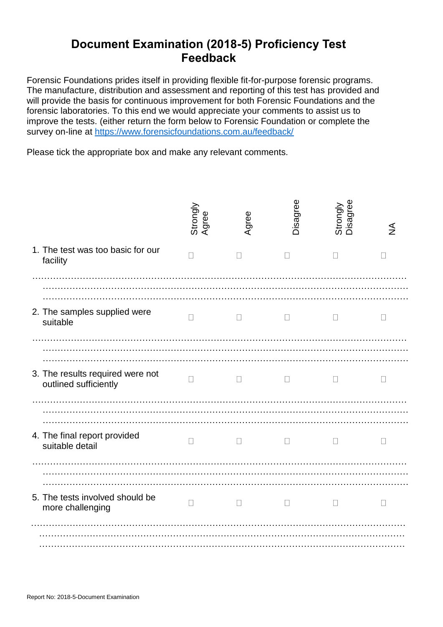# **Document Examination (2018-5) Proficiency Test Feedback**

Forensic Foundations prides itself in providing flexible fit-for-purpose forensic programs. The manufacture, distribution and assessment and reporting of this test has provided and will provide the basis for continuous improvement for both Forensic Foundations and the forensic laboratories. To this end we would appreciate your comments to assist us to improve the tests. (either return the form below to Forensic Foundation or complete the survey on-line at<https://www.forensicfoundations.com.au/feedback/>

Please tick the appropriate box and make any relevant comments.

|                                                           | Strongly<br>Agree | Agree  | Disagree     | Strongly<br>Disagree | ₹            |
|-----------------------------------------------------------|-------------------|--------|--------------|----------------------|--------------|
| 1. The test was too basic for our<br>facility             | $\mathbf{L}$      |        | $\mathbf{L}$ |                      | $\mathsf{L}$ |
| 2. The samples supplied were<br>suitable                  | $\mathsf{L}$      | П      | $\Box$       | $\mathbf{L}$         | $\mathsf{L}$ |
| 3. The results required were not<br>outlined sufficiently | $\Box$            | $\Box$ | $\mathbf{L}$ | $\Box$               | $\mathbf{L}$ |
| 4. The final report provided<br>suitable detail           | $\Box$            | $\Box$ | $\Box$       | $\Box$               | $\Box$       |
| 5. The tests involved should be<br>more challenging       | $\Box$            | $\Box$ | $\mathbf{L}$ | $\mathbf{L}$         | П            |
|                                                           |                   |        |              |                      |              |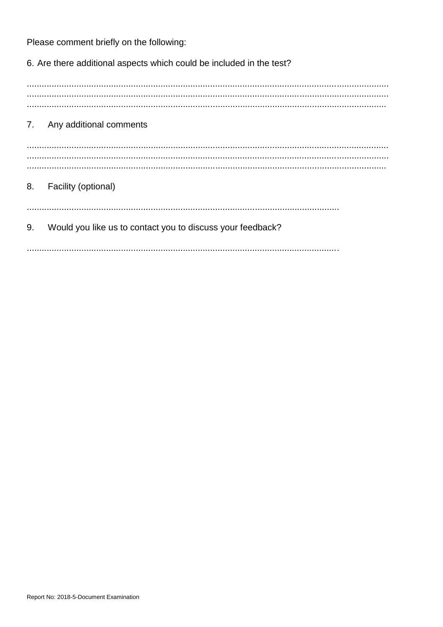Please comment briefly on the following:

6. Are there additional aspects which could be included in the test?

7. Any additional comments 8. Facility (optional) Would you like us to contact you to discuss your feedback? 9.